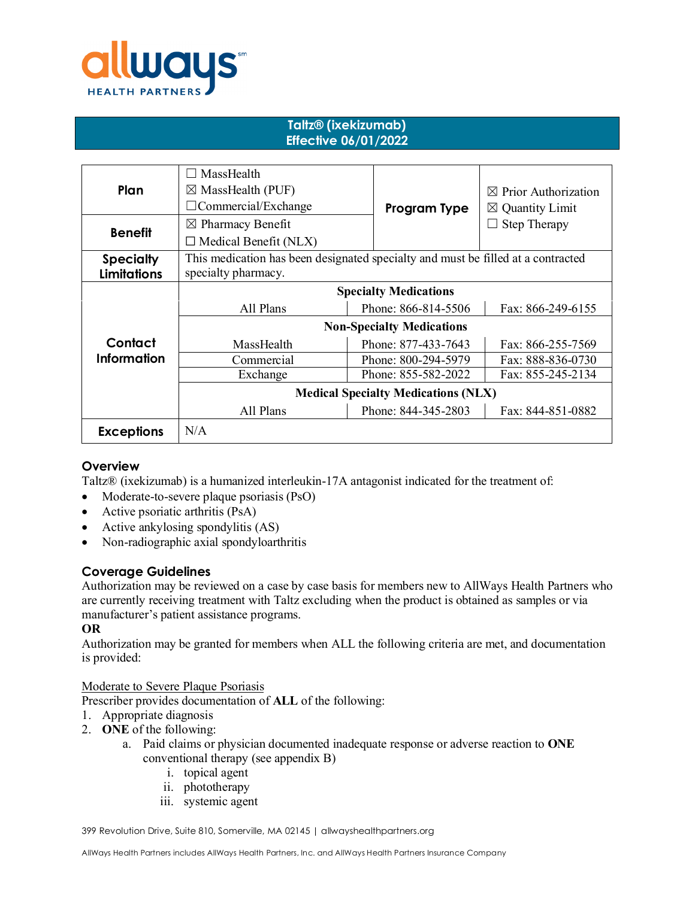

### **Taltz® (ixekizumab) Effective 06/01/2022**

| Plan                                   | MassHealth<br>$\boxtimes$ MassHealth (PUF)<br>$\Box$ Commercial/Exchange                                | Program Type        | $\boxtimes$ Prior Authorization<br>$\boxtimes$ Quantity Limit |
|----------------------------------------|---------------------------------------------------------------------------------------------------------|---------------------|---------------------------------------------------------------|
| <b>Benefit</b>                         | $\boxtimes$ Pharmacy Benefit<br>$\Box$ Medical Benefit (NLX)                                            |                     | Step Therapy                                                  |
| <b>Specialty</b><br><b>Limitations</b> | This medication has been designated specialty and must be filled at a contracted<br>specialty pharmacy. |                     |                                                               |
|                                        | <b>Specialty Medications</b>                                                                            |                     |                                                               |
|                                        | All Plans                                                                                               | Phone: 866-814-5506 | Fax: 866-249-6155                                             |
|                                        | <b>Non-Specialty Medications</b>                                                                        |                     |                                                               |
| Contact                                | MassHealth                                                                                              | Phone: 877-433-7643 | Fax: 866-255-7569                                             |
| <b>Information</b>                     | Commercial                                                                                              | Phone: 800-294-5979 | Fax: 888-836-0730                                             |
|                                        | Exchange                                                                                                | Phone: 855-582-2022 | Fax: 855-245-2134                                             |
|                                        | <b>Medical Specialty Medications (NLX)</b>                                                              |                     |                                                               |
|                                        | All Plans                                                                                               | Phone: 844-345-2803 | Fax: 844-851-0882                                             |
| <b>Exceptions</b>                      | N/A                                                                                                     |                     |                                                               |

## **Overview**

Taltz® (ixekizumab) is a humanized interleukin-17A antagonist indicated for the treatment of:

- Moderate-to-severe plaque psoriasis (PsO)
- Active psoriatic arthritis (PsA)
- Active ankylosing spondylitis (AS)
- Non-radiographic axial spondyloarthritis

## **Coverage Guidelines**

Authorization may be reviewed on a case by case basis for members new to AllWays Health Partners who are currently receiving treatment with Taltz excluding when the product is obtained as samples or via manufacturer's patient assistance programs.

#### **OR**

Authorization may be granted for members when ALL the following criteria are met, and documentation is provided:

Moderate to Severe Plaque Psoriasis

Prescriber provides documentation of **ALL** of the following:

- 1. Appropriate diagnosis
- 2. **ONE** of the following:
	- a. Paid claims or physician documented inadequate response or adverse reaction to **ONE**  conventional therapy (see appendix B)
		- i. topical agent
		- ii. phototherapy
		- iii. systemic agent

399 Revolution Drive, Suite 810, Somerville, MA 02145 | allwayshealthpartners.org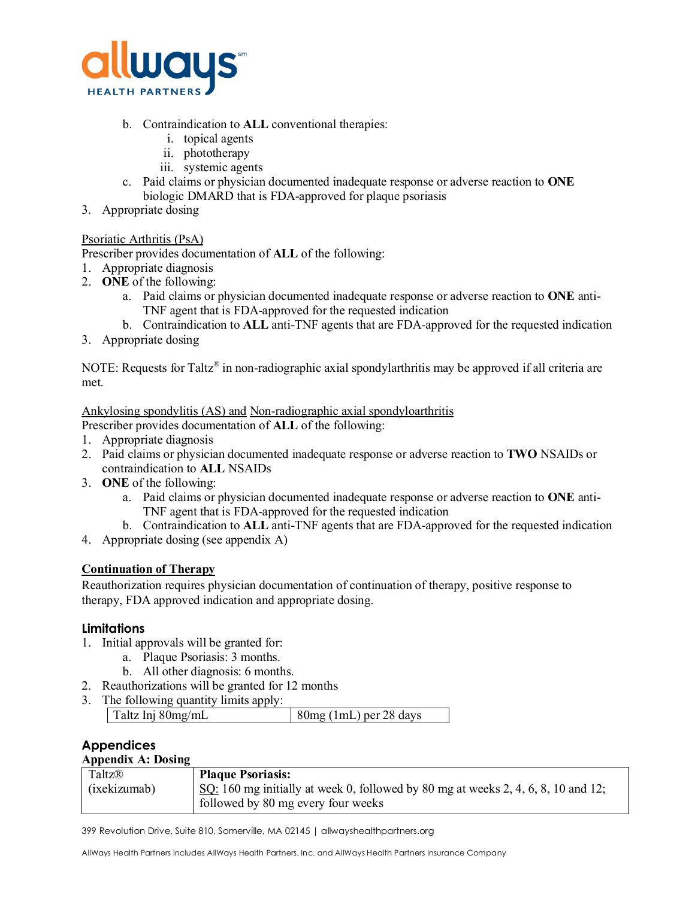

- b. Contraindication to **ALL** conventional therapies:
	- i. topical agents
	- ii. phototherapy
	- iii. systemic agents
- c. Paid claims or physician documented inadequate response or adverse reaction to **ONE** biologic DMARD that is FDA-approved for plaque psoriasis
- 3. Appropriate dosing

### Psoriatic Arthritis (PsA)

Prescriber provides documentation of **ALL** of the following:

- 1. Appropriate diagnosis
- 2. **ONE** of the following:
	- a. Paid claims or physician documented inadequate response or adverse reaction to **ONE** anti-TNF agent that is FDA-approved for the requested indication
	- b. Contraindication to **ALL** anti-TNF agents that are FDA-approved for the requested indication
- 3. Appropriate dosing

NOTE: Requests for Taltz<sup>®</sup> in non-radiographic axial spondylarthritis may be approved if all criteria are met.

Ankylosing spondylitis (AS) and Non-radiographic axial spondyloarthritis

- Prescriber provides documentation of **ALL** of the following:
- 1. Appropriate diagnosis
- 2. Paid claims or physician documented inadequate response or adverse reaction to **TWO** NSAIDs or contraindication to **ALL** NSAIDs
- 3. **ONE** of the following:
	- a. Paid claims or physician documented inadequate response or adverse reaction to **ONE** anti-TNF agent that is FDA-approved for the requested indication
	- b. Contraindication to **ALL** anti-TNF agents that are FDA-approved for the requested indication
- 4. Appropriate dosing (see appendix A)

## **Continuation of Therapy**

Reauthorization requires physician documentation of continuation of therapy, positive response to therapy, FDA approved indication and appropriate dosing.

## **Limitations**

- 1. Initial approvals will be granted for:
	- a. Plaque Psoriasis: 3 months.
	- b. All other diagnosis: 6 months.
- 2. Reauthorizations will be granted for 12 months
- 3. The following quantity limits apply:

| Taltz Inj 80mg/mL | $80mg$ (1mL) per 28 days |
|-------------------|--------------------------|
|                   |                          |

#### **Appendices Appendix A: Dosing**

| дрренита д. Dosing |                                                                                   |  |
|--------------------|-----------------------------------------------------------------------------------|--|
| Taltz®             | <b>Plaque Psoriasis:</b>                                                          |  |
| (ixekizumab)       | SQ: 160 mg initially at week 0, followed by 80 mg at weeks 2, 4, 6, 8, 10 and 12; |  |
|                    | followed by 80 mg every four weeks                                                |  |

399 Revolution Drive, Suite 810, Somerville, MA 02145 | allwayshealthpartners.org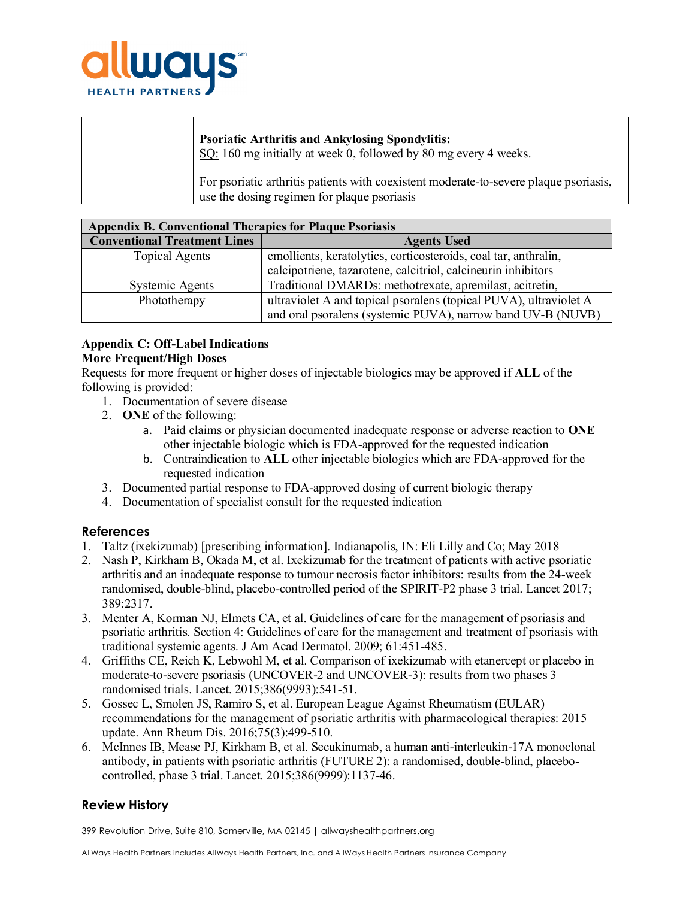

| <b>Psoriatic Arthritis and Ankylosing Spondylitis:</b><br>$\underline{SO}$ : 160 mg initially at week 0, followed by 80 mg every 4 weeks. |
|-------------------------------------------------------------------------------------------------------------------------------------------|
| For psoriatic arthritis patients with coexistent moderate-to-severe plaque psoriasis,<br>use the dosing regimen for plaque psoriasis      |

| <b>Appendix B. Conventional Therapies for Plaque Psoriasis</b> |                                                                   |  |  |  |
|----------------------------------------------------------------|-------------------------------------------------------------------|--|--|--|
| <b>Conventional Treatment Lines</b>                            | <b>Agents Used</b>                                                |  |  |  |
| <b>Topical Agents</b>                                          | emollients, keratolytics, corticosteroids, coal tar, anthralin,   |  |  |  |
|                                                                | calcipotriene, tazarotene, calcitriol, calcineurin inhibitors     |  |  |  |
| Systemic Agents                                                | Traditional DMARDs: methotrexate, apremilast, acitretin,          |  |  |  |
| Phototherapy                                                   | ultraviolet A and topical psoralens (topical PUVA), ultraviolet A |  |  |  |
|                                                                | and oral psoralens (systemic PUVA), narrow band UV-B (NUVB)       |  |  |  |

### **Appendix C: Off-Label Indications More Frequent/High Doses**

Requests for more frequent or higher doses of injectable biologics may be approved if **ALL** of the following is provided:

- 1. Documentation of severe disease
- 2. **ONE** of the following:
	- a. Paid claims or physician documented inadequate response or adverse reaction to **ONE** other injectable biologic which is FDA-approved for the requested indication
	- b. Contraindication to **ALL** other injectable biologics which are FDA-approved for the requested indication
- 3. Documented partial response to FDA-approved dosing of current biologic therapy
- 4. Documentation of specialist consult for the requested indication

## **References**

- 1. Taltz (ixekizumab) [prescribing information]. Indianapolis, IN: Eli Lilly and Co; May 2018
- 2. Nash P, Kirkham B, Okada M, et al. Ixekizumab for the treatment of patients with active psoriatic arthritis and an inadequate response to tumour necrosis factor inhibitors: results from the 24-week randomised, double-blind, placebo-controlled period of the SPIRIT-P2 phase 3 trial. Lancet 2017; 389:2317.
- 3. Menter A, Korman NJ, Elmets CA, et al. Guidelines of care for the management of psoriasis and psoriatic arthritis. Section 4: Guidelines of care for the management and treatment of psoriasis with traditional systemic agents. J Am Acad Dermatol. 2009; 61:451-485.
- 4. Griffiths CE, Reich K, Lebwohl M, et al. Comparison of ixekizumab with etanercept or placebo in moderate-to-severe psoriasis (UNCOVER-2 and UNCOVER-3): results from two phases 3 randomised trials. Lancet. 2015;386(9993):541-51.
- 5. Gossec L, Smolen JS, Ramiro S, et al. European League Against Rheumatism (EULAR) recommendations for the management of psoriatic arthritis with pharmacological therapies: 2015 update. Ann Rheum Dis. 2016;75(3):499-510.
- 6. McInnes IB, Mease PJ, Kirkham B, et al. Secukinumab, a human anti-interleukin-17A monoclonal antibody, in patients with psoriatic arthritis (FUTURE 2): a randomised, double-blind, placebocontrolled, phase 3 trial. Lancet. 2015;386(9999):1137-46.

# **Review History**

399 Revolution Drive, Suite 810, Somerville, MA 02145 | allwayshealthpartners.org